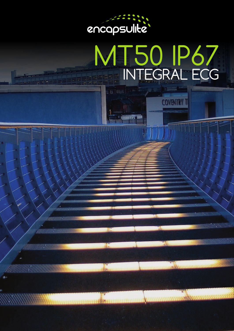

**B** EE

*9111115111111111* 

VAHAHANDA

*MAANAHAANT* 

**THEY** 

# MT50 IP67 INTEGRAL ECG

**COVENTRY 1**